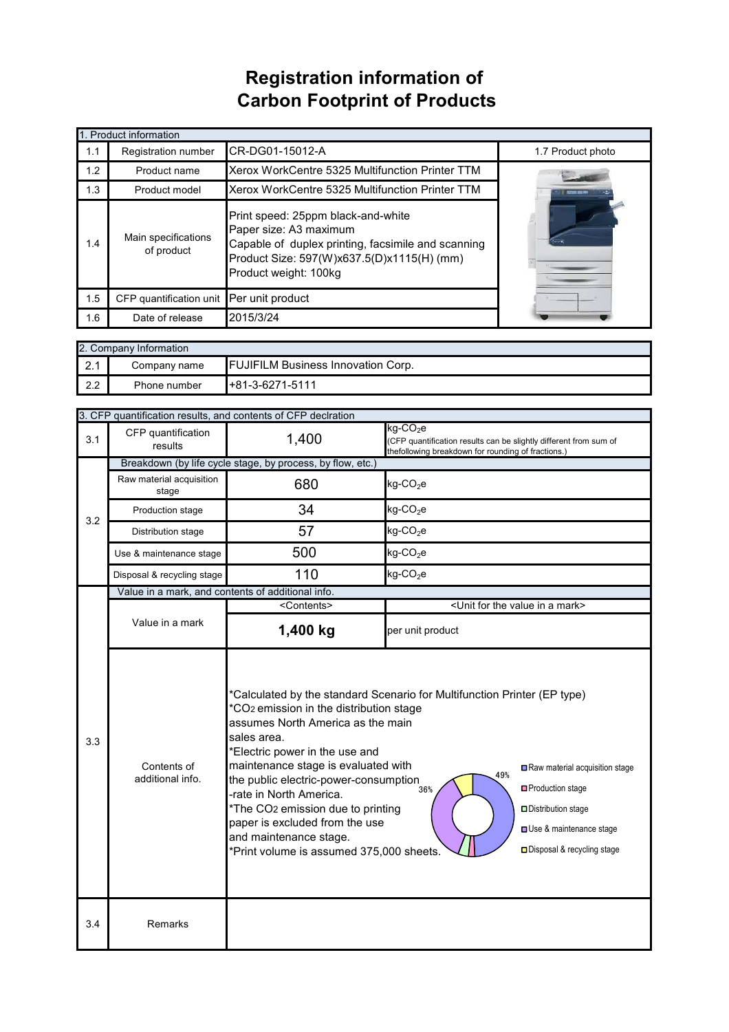## **Registration information of Carbon Footprint of Products**

| 1. Product information |                                                                                                                                                                                                                                |                                                 |                   |  |
|------------------------|--------------------------------------------------------------------------------------------------------------------------------------------------------------------------------------------------------------------------------|-------------------------------------------------|-------------------|--|
| 1.1                    | <b>Registration number</b>                                                                                                                                                                                                     | CR-DG01-15012-A                                 | 1.7 Product photo |  |
| 1.2                    | Product name                                                                                                                                                                                                                   | Xerox WorkCentre 5325 Multifunction Printer TTM |                   |  |
| 1.3                    | Product model                                                                                                                                                                                                                  | Xerox WorkCentre 5325 Multifunction Printer TTM |                   |  |
| 1.4                    | Print speed: 25ppm black-and-white<br>Paper size: A3 maximum<br>Main specifications<br>Capable of duplex printing, facsimile and scanning<br>of product<br>Product Size: 597(W)x637.5(D)x1115(H) (mm)<br>Product weight: 100kg |                                                 |                   |  |
| 1.5                    | CFP quantification unit Per unit product                                                                                                                                                                                       |                                                 |                   |  |
| 1.6                    | Date of release                                                                                                                                                                                                                | 2015/3/24                                       |                   |  |

| 2. Company Information |                                                           |                    |  |  |
|------------------------|-----------------------------------------------------------|--------------------|--|--|
| ົດ 1<br>$\sim$         | <b>FUJIFILM Business Innovation Corp.</b><br>Company name |                    |  |  |
| 2.2                    | Phone number                                              | $1+81-3-6271-5111$ |  |  |

|                                                                                                                                                                                                                                                                                                                                                                                                                                                                                                                                       | 3. CFP quantification results, and contents of CFP declration |                       |                                                                                                                                                    |  |  |
|---------------------------------------------------------------------------------------------------------------------------------------------------------------------------------------------------------------------------------------------------------------------------------------------------------------------------------------------------------------------------------------------------------------------------------------------------------------------------------------------------------------------------------------|---------------------------------------------------------------|-----------------------|----------------------------------------------------------------------------------------------------------------------------------------------------|--|--|
| 3.1                                                                                                                                                                                                                                                                                                                                                                                                                                                                                                                                   | CFP quantification<br>results                                 | 1,400                 | $kg$ -CO <sub>2</sub> e<br>(CFP quantification results can be slightly different from sum of<br>thefollowing breakdown for rounding of fractions.) |  |  |
|                                                                                                                                                                                                                                                                                                                                                                                                                                                                                                                                       | Breakdown (by life cycle stage, by process, by flow, etc.)    |                       |                                                                                                                                                    |  |  |
| 3.2                                                                                                                                                                                                                                                                                                                                                                                                                                                                                                                                   | Raw material acquisition<br>stage                             | 680                   | $kg$ -CO <sub>2</sub> e                                                                                                                            |  |  |
|                                                                                                                                                                                                                                                                                                                                                                                                                                                                                                                                       | Production stage                                              | 34                    | $kg$ -CO <sub>2</sub> e                                                                                                                            |  |  |
|                                                                                                                                                                                                                                                                                                                                                                                                                                                                                                                                       | Distribution stage                                            | 57                    | $kg$ -CO <sub>2</sub> e                                                                                                                            |  |  |
|                                                                                                                                                                                                                                                                                                                                                                                                                                                                                                                                       | Use & maintenance stage                                       | 500                   | $kg$ -CO <sub>2</sub> e                                                                                                                            |  |  |
|                                                                                                                                                                                                                                                                                                                                                                                                                                                                                                                                       | Disposal & recycling stage                                    | 110                   | $kg$ -CO <sub>2</sub> e                                                                                                                            |  |  |
|                                                                                                                                                                                                                                                                                                                                                                                                                                                                                                                                       | Value in a mark, and contents of additional info.             |                       |                                                                                                                                                    |  |  |
|                                                                                                                                                                                                                                                                                                                                                                                                                                                                                                                                       |                                                               | <contents></contents> | <unit a="" for="" in="" mark="" the="" value=""></unit>                                                                                            |  |  |
|                                                                                                                                                                                                                                                                                                                                                                                                                                                                                                                                       | Value in a mark                                               | 1,400 kg              | per unit product                                                                                                                                   |  |  |
| *Calculated by the standard Scenario for Multifunction Printer (EP type)<br>*CO <sub>2</sub> emission in the distribution stage<br>assumes North America as the main<br>sales area.<br>3.3<br>*Electric power in the use and<br>maintenance stage is evaluated with<br>Contents of<br>49%<br>additional info.<br>the public electric-power-consumption<br>36%<br>-rate in North America.<br>*The CO2 emission due to printing<br>paper is excluded from the use<br>and maintenance stage.<br>*Print volume is assumed 375,000 sheets. |                                                               |                       | Raw material acquisition stage<br>□ Production stage<br>Distribution stage<br>Use & maintenance stage<br>□ Disposal & recycling stage              |  |  |
| 3.4                                                                                                                                                                                                                                                                                                                                                                                                                                                                                                                                   | Remarks                                                       |                       |                                                                                                                                                    |  |  |